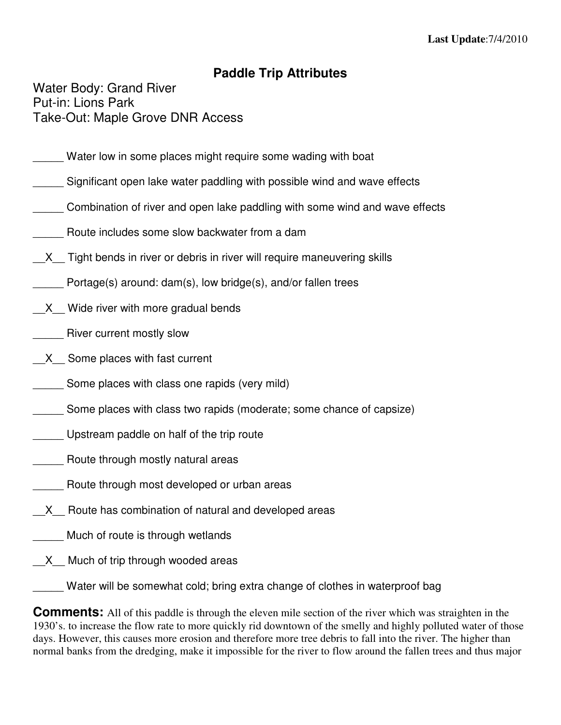## **Paddle Trip Attributes**

Water Body: Grand River Put-in: Lions Park Take-Out: Maple Grove DNR Access

- Water low in some places might require some wading with boat
- Significant open lake water paddling with possible wind and wave effects
- \_\_\_\_\_ Combination of river and open lake paddling with some wind and wave effects
- Route includes some slow backwater from a dam
- X Tight bends in river or debris in river will require maneuvering skills
	- Portage(s) around: dam(s), low bridge(s), and/or fallen trees
- X Wide river with more gradual bends
- River current mostly slow
- X Some places with fast current
- Some places with class one rapids (very mild)
- Some places with class two rapids (moderate; some chance of capsize)
- \_\_\_\_\_ Upstream paddle on half of the trip route
- Route through mostly natural areas
- Route through most developed or urban areas
- X Route has combination of natural and developed areas
- \_\_\_\_\_ Much of route is through wetlands
- X Much of trip through wooded areas

\_\_\_\_\_ Water will be somewhat cold; bring extra change of clothes in waterproof bag

**Comments:** All of this paddle is through the eleven mile section of the river which was straighten in the 1930's. to increase the flow rate to more quickly rid downtown of the smelly and highly polluted water of those days. However, this causes more erosion and therefore more tree debris to fall into the river. The higher than normal banks from the dredging, make it impossible for the river to flow around the fallen trees and thus major